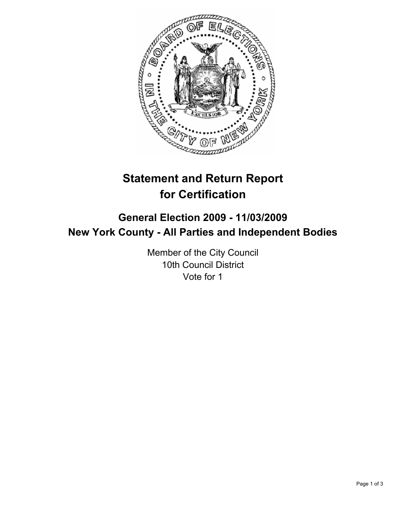

# **Statement and Return Report for Certification**

## **General Election 2009 - 11/03/2009 New York County - All Parties and Independent Bodies**

Member of the City Council 10th Council District Vote for 1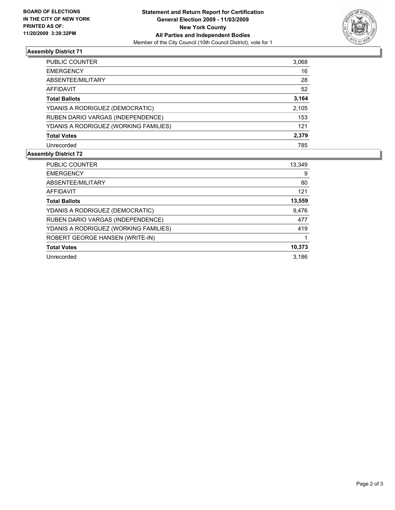

### **Assembly District 71**

| PUBLIC COUNTER                        | 3,068 |
|---------------------------------------|-------|
| <b>EMERGENCY</b>                      | 16    |
| ABSENTEE/MILITARY                     | 28    |
| <b>AFFIDAVIT</b>                      | 52    |
| <b>Total Ballots</b>                  | 3,164 |
| YDANIS A RODRIGUEZ (DEMOCRATIC)       | 2,105 |
| RUBEN DARIO VARGAS (INDEPENDENCE)     | 153   |
| YDANIS A RODRIGUEZ (WORKING FAMILIES) | 121   |
| <b>Total Votes</b>                    | 2,379 |
| Unrecorded                            | 785   |

#### **Assembly District 72**

| <b>PUBLIC COUNTER</b>                 | 13.349 |
|---------------------------------------|--------|
| <b>EMERGENCY</b>                      | 9      |
| ABSENTEE/MILITARY                     | 80     |
| <b>AFFIDAVIT</b>                      | 121    |
| <b>Total Ballots</b>                  | 13,559 |
| YDANIS A RODRIGUEZ (DEMOCRATIC)       | 9,476  |
| RUBEN DARIO VARGAS (INDEPENDENCE)     | 477    |
| YDANIS A RODRIGUEZ (WORKING FAMILIES) | 419    |
| ROBERT GEORGE HANSEN (WRITE-IN)       |        |
| <b>Total Votes</b>                    | 10,373 |
| Unrecorded                            | 3.186  |